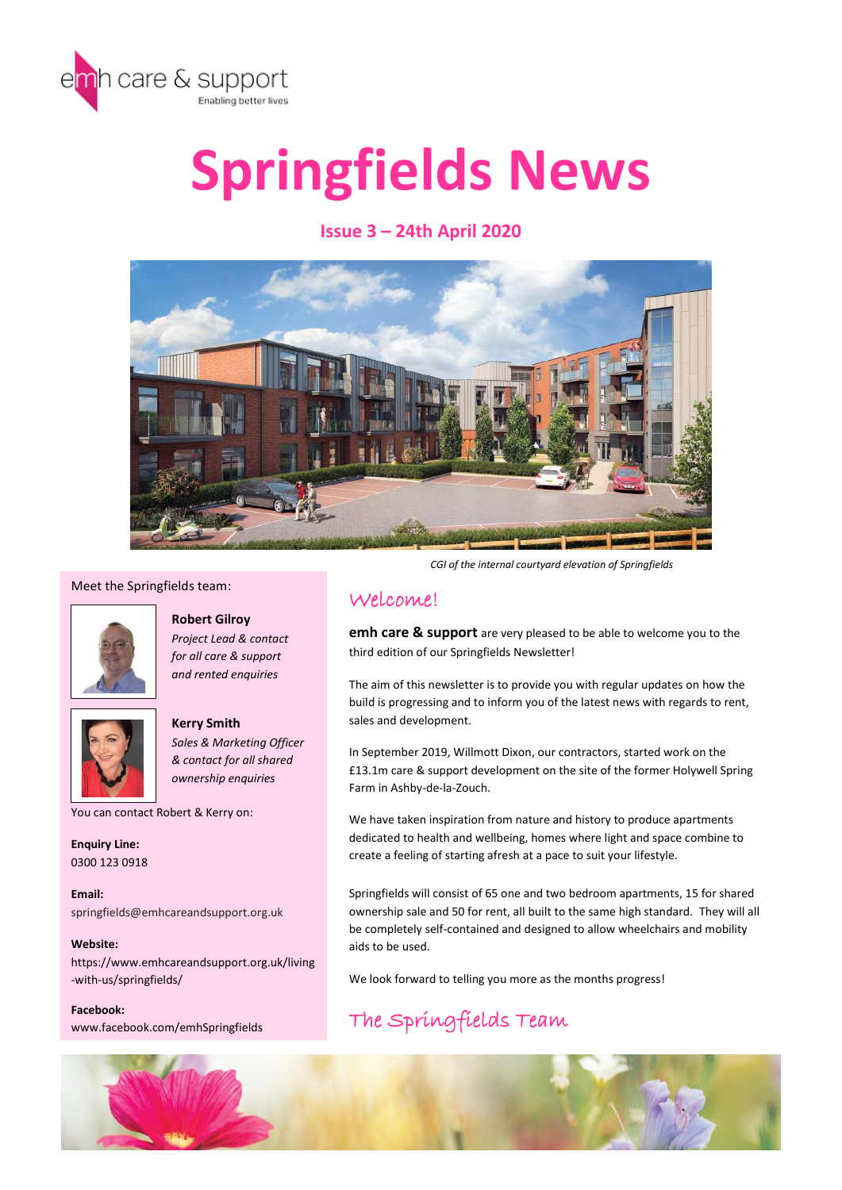

# **Springfields News**

# **Issue 3 – 24th April 2020**



#### Meet the Springfields team:



**Robert Gilroy** *Project Lead & contact for all care & support and rented enquiries*



**Kerry Smith** *Sales & Marketing Officer & contact for all shared ownership enquiries*

You can contact Robert & Kerry on:

**Enquiry Line:**  0300 123 0918

**Email:**  springfields@emhcareandsupport.org.uk

**Website:**  https://www.emhcareandsupport.org.uk/living -with-us/springfields/

**Facebook:** www.facebook.com/emhSpringfields

*CGI of the internal courtyard elevation of Springfields*

# Welcome!

**emh care & support** are very pleased to be able to welcome you to the third edition of our Springfields Newsletter!

The aim of this newsletter is to provide you with regular updates on how the build is progressing and to inform you of the latest news with regards to rent, sales and development.

In September 2019, Willmott Dixon, our contractors, started work on the £13.1m care & support development on the site of the former Holywell Spring Farm in Ashby-de-la-Zouch.

We have taken inspiration from nature and history to produce apartments dedicated to health and wellbeing, homes where light and space combine to create a feeling of starting afresh at a pace to suit your lifestyle.

Springfields will consist of 65 one and two bedroom apartments, 15 for shared ownership sale and 50 for rent, all built to the same high standard. They will all be completely self-contained and designed to allow wheelchairs and mobility aids to be used.

We look forward to telling you more as the months progress!

# The Springfields Team